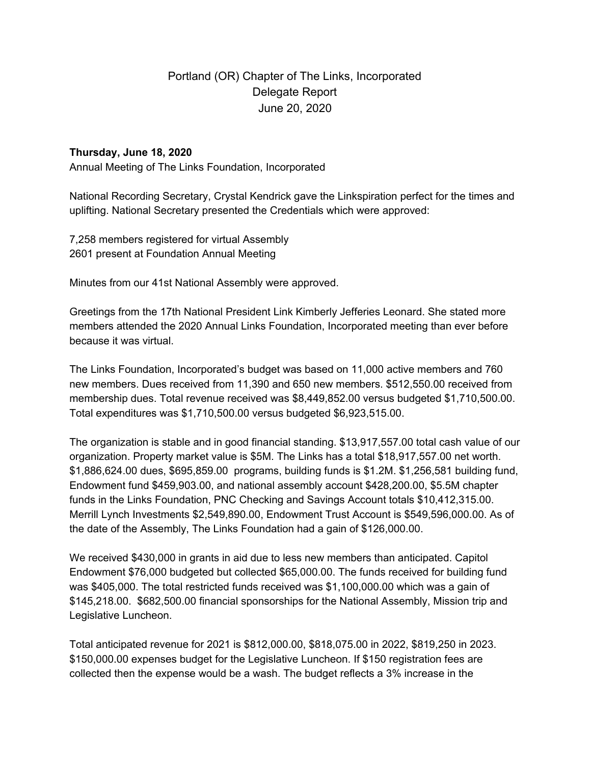# Portland (OR) Chapter of The Links, Incorporated Delegate Report June 20, 2020

# **Thursday, June 18, 2020**

Annual Meeting of The Links Foundation, Incorporated

National Recording Secretary, Crystal Kendrick gave the Linkspiration perfect for the times and uplifting. National Secretary presented the Credentials which were approved:

7,258 members registered for virtual Assembly 2601 present at Foundation Annual Meeting

Minutes from our 41st National Assembly were approved.

Greetings from the 17th National President Link Kimberly Jefferies Leonard. She stated more members attended the 2020 Annual Links Foundation, Incorporated meeting than ever before because it was virtual.

The Links Foundation, Incorporated's budget was based on 11,000 active members and 760 new members. Dues received from 11,390 and 650 new members. \$512,550.00 received from membership dues. Total revenue received was \$8,449,852.00 versus budgeted \$1,710,500.00. Total expenditures was \$1,710,500.00 versus budgeted \$6,923,515.00.

The organization is stable and in good financial standing. \$13,917,557.00 total cash value of our organization. Property market value is \$5M. The Links has a total \$18,917,557.00 net worth. \$1,886,624.00 dues, \$695,859.00 programs, building funds is \$1.2M. \$1,256,581 building fund, Endowment fund \$459,903.00, and national assembly account \$428,200.00, \$5.5M chapter funds in the Links Foundation, PNC Checking and Savings Account totals \$10,412,315.00. Merrill Lynch Investments \$2,549,890.00, Endowment Trust Account is \$549,596,000.00. As of the date of the Assembly, The Links Foundation had a gain of \$126,000.00.

We received \$430,000 in grants in aid due to less new members than anticipated. Capitol Endowment \$76,000 budgeted but collected \$65,000.00. The funds received for building fund was \$405,000. The total restricted funds received was \$1,100,000.00 which was a gain of \$145,218.00. \$682,500.00 financial sponsorships for the National Assembly, Mission trip and Legislative Luncheon.

Total anticipated revenue for 2021 is \$812,000.00, \$818,075.00 in 2022, \$819,250 in 2023. \$150,000.00 expenses budget for the Legislative Luncheon. If \$150 registration fees are collected then the expense would be a wash. The budget reflects a 3% increase in the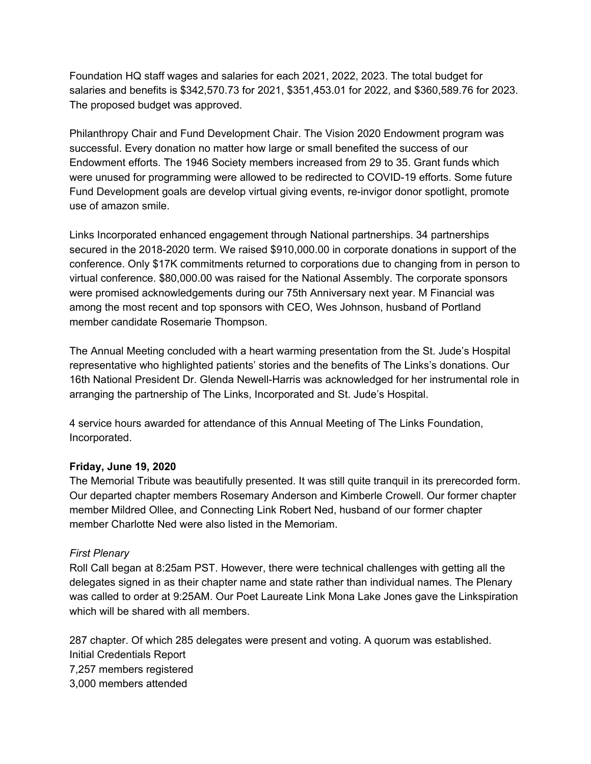Foundation HQ staff wages and salaries for each 2021, 2022, 2023. The total budget for salaries and benefits is \$342,570.73 for 2021, \$351,453.01 for 2022, and \$360,589.76 for 2023. The proposed budget was approved.

Philanthropy Chair and Fund Development Chair. The Vision 2020 Endowment program was successful. Every donation no matter how large or small benefited the success of our Endowment efforts. The 1946 Society members increased from 29 to 35. Grant funds which were unused for programming were allowed to be redirected to COVID-19 efforts. Some future Fund Development goals are develop virtual giving events, re-invigor donor spotlight, promote use of amazon smile.

Links Incorporated enhanced engagement through National partnerships. 34 partnerships secured in the 2018-2020 term. We raised \$910,000.00 in corporate donations in support of the conference. Only \$17K commitments returned to corporations due to changing from in person to virtual conference. \$80,000.00 was raised for the National Assembly. The corporate sponsors were promised acknowledgements during our 75th Anniversary next year. M Financial was among the most recent and top sponsors with CEO, Wes Johnson, husband of Portland member candidate Rosemarie Thompson.

The Annual Meeting concluded with a heart warming presentation from the St. Jude's Hospital representative who highlighted patients' stories and the benefits of The Links's donations. Our 16th National President Dr. Glenda Newell-Harris was acknowledged for her instrumental role in arranging the partnership of The Links, Incorporated and St. Jude's Hospital.

4 service hours awarded for attendance of this Annual Meeting of The Links Foundation, Incorporated.

# **Friday, June 19, 2020**

The Memorial Tribute was beautifully presented. It was still quite tranquil in its prerecorded form. Our departed chapter members Rosemary Anderson and Kimberle Crowell. Our former chapter member Mildred Ollee, and Connecting Link Robert Ned, husband of our former chapter member Charlotte Ned were also listed in the Memoriam.

# *First Plenary*

Roll Call began at 8:25am PST. However, there were technical challenges with getting all the delegates signed in as their chapter name and state rather than individual names. The Plenary was called to order at 9:25AM. Our Poet Laureate Link Mona Lake Jones gave the Linkspiration which will be shared with all members.

287 chapter. Of which 285 delegates were present and voting. A quorum was established. Initial Credentials Report 7,257 members registered 3,000 members attended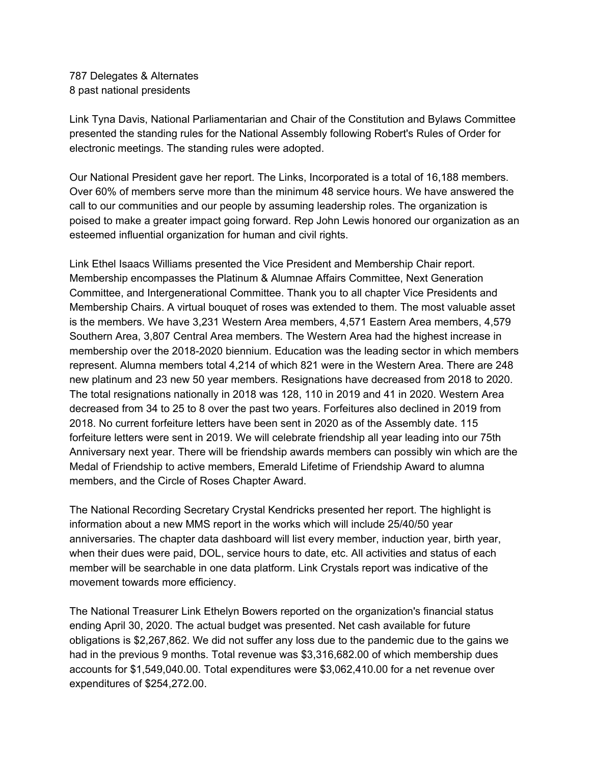787 Delegates & Alternates 8 past national presidents

Link Tyna Davis, National Parliamentarian and Chair of the Constitution and Bylaws Committee presented the standing rules for the National Assembly following Robert's Rules of Order for electronic meetings. The standing rules were adopted.

Our National President gave her report. The Links, Incorporated is a total of 16,188 members. Over 60% of members serve more than the minimum 48 service hours. We have answered the call to our communities and our people by assuming leadership roles. The organization is poised to make a greater impact going forward. Rep John Lewis honored our organization as an esteemed influential organization for human and civil rights.

Link Ethel Isaacs Williams presented the Vice President and Membership Chair report. Membership encompasses the Platinum & Alumnae Affairs Committee, Next Generation Committee, and Intergenerational Committee. Thank you to all chapter Vice Presidents and Membership Chairs. A virtual bouquet of roses was extended to them. The most valuable asset is the members. We have 3,231 Western Area members, 4,571 Eastern Area members, 4,579 Southern Area, 3,807 Central Area members. The Western Area had the highest increase in membership over the 2018-2020 biennium. Education was the leading sector in which members represent. Alumna members total 4,214 of which 821 were in the Western Area. There are 248 new platinum and 23 new 50 year members. Resignations have decreased from 2018 to 2020. The total resignations nationally in 2018 was 128, 110 in 2019 and 41 in 2020. Western Area decreased from 34 to 25 to 8 over the past two years. Forfeitures also declined in 2019 from 2018. No current forfeiture letters have been sent in 2020 as of the Assembly date. 115 forfeiture letters were sent in 2019. We will celebrate friendship all year leading into our 75th Anniversary next year. There will be friendship awards members can possibly win which are the Medal of Friendship to active members, Emerald Lifetime of Friendship Award to alumna members, and the Circle of Roses Chapter Award.

The National Recording Secretary Crystal Kendricks presented her report. The highlight is information about a new MMS report in the works which will include 25/40/50 year anniversaries. The chapter data dashboard will list every member, induction year, birth year, when their dues were paid, DOL, service hours to date, etc. All activities and status of each member will be searchable in one data platform. Link Crystals report was indicative of the movement towards more efficiency.

The National Treasurer Link Ethelyn Bowers reported on the organization's financial status ending April 30, 2020. The actual budget was presented. Net cash available for future obligations is \$2,267,862. We did not suffer any loss due to the pandemic due to the gains we had in the previous 9 months. Total revenue was \$3,316,682.00 of which membership dues accounts for \$1,549,040.00. Total expenditures were \$3,062,410.00 for a net revenue over expenditures of \$254,272.00.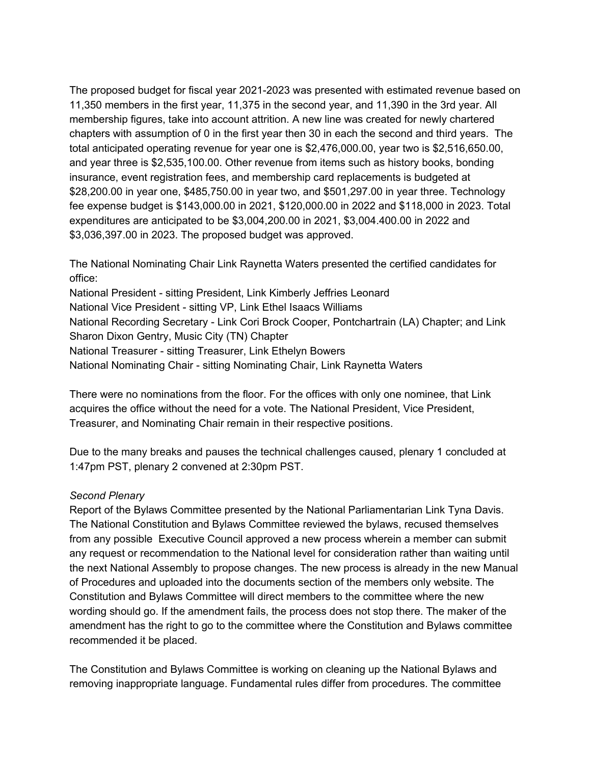The proposed budget for fiscal year 2021-2023 was presented with estimated revenue based on 11,350 members in the first year, 11,375 in the second year, and 11,390 in the 3rd year. All membership figures, take into account attrition. A new line was created for newly chartered chapters with assumption of 0 in the first year then 30 in each the second and third years. The total anticipated operating revenue for year one is \$2,476,000.00, year two is \$2,516,650.00, and year three is \$2,535,100.00. Other revenue from items such as history books, bonding insurance, event registration fees, and membership card replacements is budgeted at \$28,200.00 in year one, \$485,750.00 in year two, and \$501,297.00 in year three. Technology fee expense budget is \$143,000.00 in 2021, \$120,000.00 in 2022 and \$118,000 in 2023. Total expenditures are anticipated to be \$3,004,200.00 in 2021, \$3,004.400.00 in 2022 and \$3,036,397.00 in 2023. The proposed budget was approved.

The National Nominating Chair Link Raynetta Waters presented the certified candidates for office:

National President - sitting President, Link Kimberly Jeffries Leonard National Vice President - sitting VP, Link Ethel Isaacs Williams National Recording Secretary - Link Cori Brock Cooper, Pontchartrain (LA) Chapter; and Link Sharon Dixon Gentry, Music City (TN) Chapter National Treasurer - sitting Treasurer, Link Ethelyn Bowers National Nominating Chair - sitting Nominating Chair, Link Raynetta Waters

There were no nominations from the floor. For the offices with only one nominee, that Link acquires the office without the need for a vote. The National President, Vice President, Treasurer, and Nominating Chair remain in their respective positions.

Due to the many breaks and pauses the technical challenges caused, plenary 1 concluded at 1:47pm PST, plenary 2 convened at 2:30pm PST.

# *Second Plenary*

Report of the Bylaws Committee presented by the National Parliamentarian Link Tyna Davis. The National Constitution and Bylaws Committee reviewed the bylaws, recused themselves from any possible Executive Council approved a new process wherein a member can submit any request or recommendation to the National level for consideration rather than waiting until the next National Assembly to propose changes. The new process is already in the new Manual of Procedures and uploaded into the documents section of the members only website. The Constitution and Bylaws Committee will direct members to the committee where the new wording should go. If the amendment fails, the process does not stop there. The maker of the amendment has the right to go to the committee where the Constitution and Bylaws committee recommended it be placed.

The Constitution and Bylaws Committee is working on cleaning up the National Bylaws and removing inappropriate language. Fundamental rules differ from procedures. The committee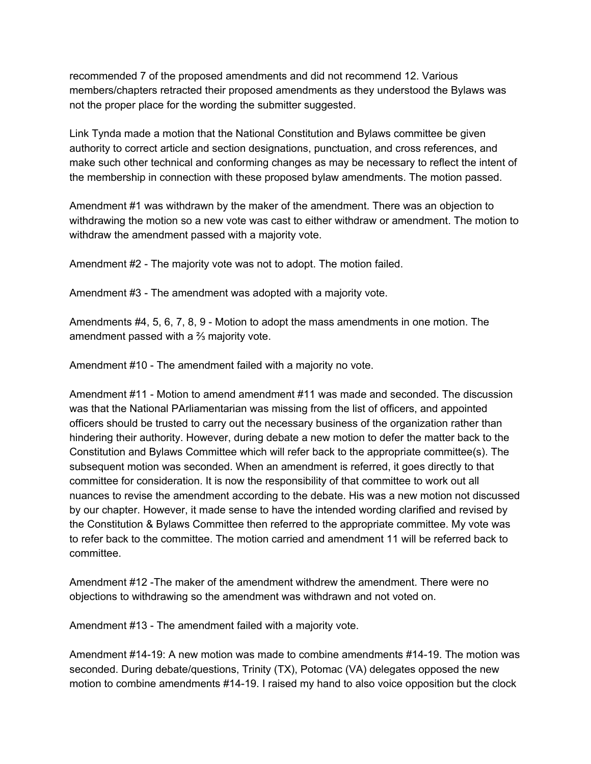recommended 7 of the proposed amendments and did not recommend 12. Various members/chapters retracted their proposed amendments as they understood the Bylaws was not the proper place for the wording the submitter suggested.

Link Tynda made a motion that the National Constitution and Bylaws committee be given authority to correct article and section designations, punctuation, and cross references, and make such other technical and conforming changes as may be necessary to reflect the intent of the membership in connection with these proposed bylaw amendments. The motion passed.

Amendment #1 was withdrawn by the maker of the amendment. There was an objection to withdrawing the motion so a new vote was cast to either withdraw or amendment. The motion to withdraw the amendment passed with a majority vote.

Amendment #2 - The majority vote was not to adopt. The motion failed.

Amendment #3 - The amendment was adopted with a majority vote.

Amendments #4, 5, 6, 7, 8, 9 - Motion to adopt the mass amendments in one motion. The amendment passed with a ⅔ majority vote.

Amendment #10 - The amendment failed with a majority no vote.

Amendment #11 - Motion to amend amendment #11 was made and seconded. The discussion was that the National PArliamentarian was missing from the list of officers, and appointed officers should be trusted to carry out the necessary business of the organization rather than hindering their authority. However, during debate a new motion to defer the matter back to the Constitution and Bylaws Committee which will refer back to the appropriate committee(s). The subsequent motion was seconded. When an amendment is referred, it goes directly to that committee for consideration. It is now the responsibility of that committee to work out all nuances to revise the amendment according to the debate. His was a new motion not discussed by our chapter. However, it made sense to have the intended wording clarified and revised by the Constitution & Bylaws Committee then referred to the appropriate committee. My vote was to refer back to the committee. The motion carried and amendment 11 will be referred back to committee.

Amendment #12 -The maker of the amendment withdrew the amendment. There were no objections to withdrawing so the amendment was withdrawn and not voted on.

Amendment #13 - The amendment failed with a majority vote.

Amendment #14-19: A new motion was made to combine amendments #14-19. The motion was seconded. During debate/questions, Trinity (TX), Potomac (VA) delegates opposed the new motion to combine amendments #14-19. I raised my hand to also voice opposition but the clock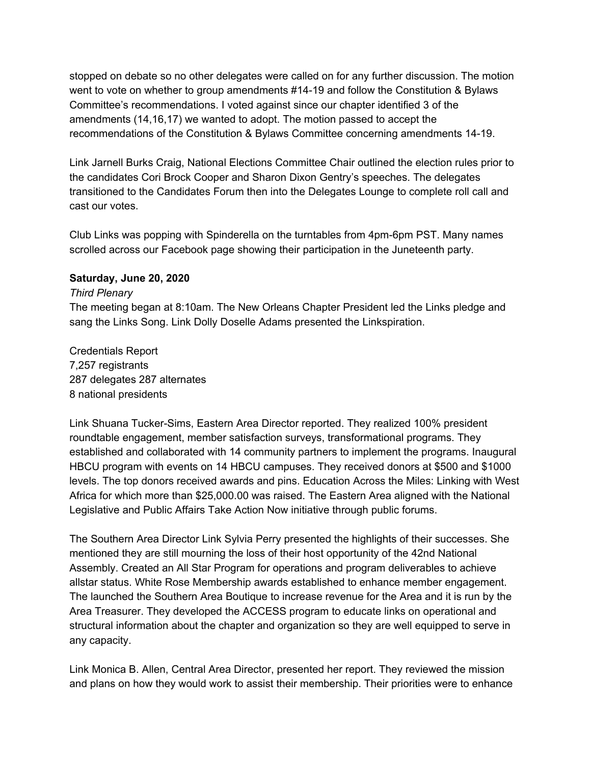stopped on debate so no other delegates were called on for any further discussion. The motion went to vote on whether to group amendments #14-19 and follow the Constitution & Bylaws Committee's recommendations. I voted against since our chapter identified 3 of the amendments (14,16,17) we wanted to adopt. The motion passed to accept the recommendations of the Constitution & Bylaws Committee concerning amendments 14-19.

Link Jarnell Burks Craig, National Elections Committee Chair outlined the election rules prior to the candidates Cori Brock Cooper and Sharon Dixon Gentry's speeches. The delegates transitioned to the Candidates Forum then into the Delegates Lounge to complete roll call and cast our votes.

Club Links was popping with Spinderella on the turntables from 4pm-6pm PST. Many names scrolled across our Facebook page showing their participation in the Juneteenth party.

### **Saturday, June 20, 2020**

#### *Third Plenary*

The meeting began at 8:10am. The New Orleans Chapter President led the Links pledge and sang the Links Song. Link Dolly Doselle Adams presented the Linkspiration.

Credentials Report 7,257 registrants 287 delegates 287 alternates 8 national presidents

Link Shuana Tucker-Sims, Eastern Area Director reported. They realized 100% president roundtable engagement, member satisfaction surveys, transformational programs. They established and collaborated with 14 community partners to implement the programs. Inaugural HBCU program with events on 14 HBCU campuses. They received donors at \$500 and \$1000 levels. The top donors received awards and pins. Education Across the Miles: Linking with West Africa for which more than \$25,000.00 was raised. The Eastern Area aligned with the National Legislative and Public Affairs Take Action Now initiative through public forums.

The Southern Area Director Link Sylvia Perry presented the highlights of their successes. She mentioned they are still mourning the loss of their host opportunity of the 42nd National Assembly. Created an All Star Program for operations and program deliverables to achieve allstar status. White Rose Membership awards established to enhance member engagement. The launched the Southern Area Boutique to increase revenue for the Area and it is run by the Area Treasurer. They developed the ACCESS program to educate links on operational and structural information about the chapter and organization so they are well equipped to serve in any capacity.

Link Monica B. Allen, Central Area Director, presented her report. They reviewed the mission and plans on how they would work to assist their membership. Their priorities were to enhance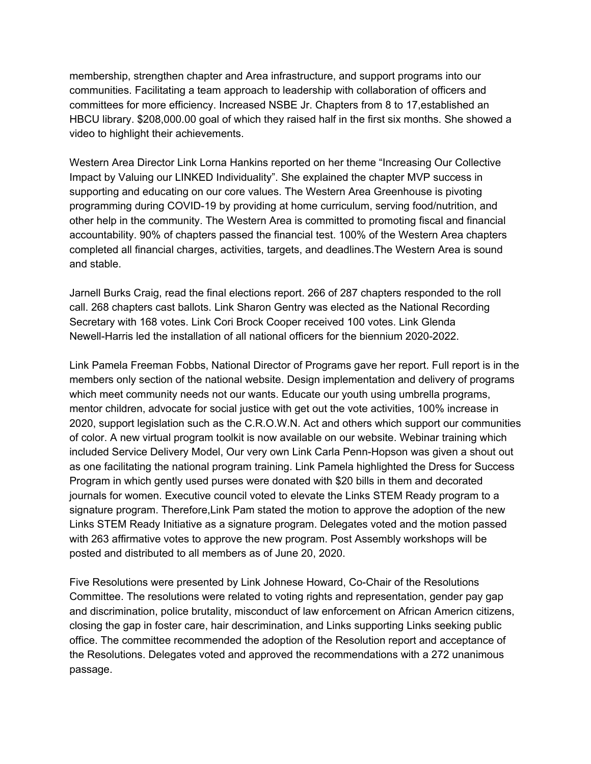membership, strengthen chapter and Area infrastructure, and support programs into our communities. Facilitating a team approach to leadership with collaboration of officers and committees for more efficiency. Increased NSBE Jr. Chapters from 8 to 17,established an HBCU library. \$208,000.00 goal of which they raised half in the first six months. She showed a video to highlight their achievements.

Western Area Director Link Lorna Hankins reported on her theme "Increasing Our Collective Impact by Valuing our LINKED Individuality". She explained the chapter MVP success in supporting and educating on our core values. The Western Area Greenhouse is pivoting programming during COVID-19 by providing at home curriculum, serving food/nutrition, and other help in the community. The Western Area is committed to promoting fiscal and financial accountability. 90% of chapters passed the financial test. 100% of the Western Area chapters completed all financial charges, activities, targets, and deadlines.The Western Area is sound and stable.

Jarnell Burks Craig, read the final elections report. 266 of 287 chapters responded to the roll call. 268 chapters cast ballots. Link Sharon Gentry was elected as the National Recording Secretary with 168 votes. Link Cori Brock Cooper received 100 votes. Link Glenda Newell-Harris led the installation of all national officers for the biennium 2020-2022.

Link Pamela Freeman Fobbs, National Director of Programs gave her report. Full report is in the members only section of the national website. Design implementation and delivery of programs which meet community needs not our wants. Educate our youth using umbrella programs, mentor children, advocate for social justice with get out the vote activities, 100% increase in 2020, support legislation such as the C.R.O.W.N. Act and others which support our communities of color. A new virtual program toolkit is now available on our website. Webinar training which included Service Delivery Model, Our very own Link Carla Penn-Hopson was given a shout out as one facilitating the national program training. Link Pamela highlighted the Dress for Success Program in which gently used purses were donated with \$20 bills in them and decorated journals for women. Executive council voted to elevate the Links STEM Ready program to a signature program. Therefore,Link Pam stated the motion to approve the adoption of the new Links STEM Ready Initiative as a signature program. Delegates voted and the motion passed with 263 affirmative votes to approve the new program. Post Assembly workshops will be posted and distributed to all members as of June 20, 2020.

Five Resolutions were presented by Link Johnese Howard, Co-Chair of the Resolutions Committee. The resolutions were related to voting rights and representation, gender pay gap and discrimination, police brutality, misconduct of law enforcement on African Americn citizens, closing the gap in foster care, hair descrimination, and Links supporting Links seeking public office. The committee recommended the adoption of the Resolution report and acceptance of the Resolutions. Delegates voted and approved the recommendations with a 272 unanimous passage.